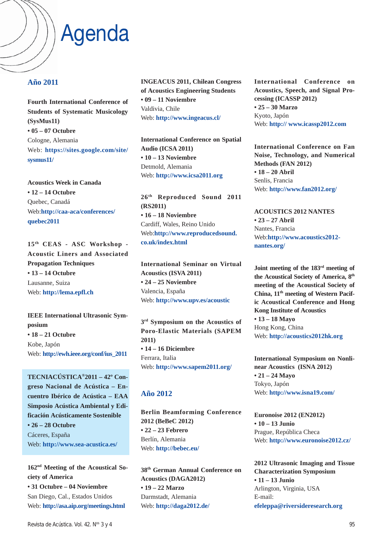## Agenda

#### **Año 2011**

**Fourth International Conference of Students of Systematic Musicology (SysMus11) • 05 – 07 Octubre** Cologne, Alemania Web: **https://sites.google.com/site/ sysmus11/**

**Acoustics Week in Canada • 12 – 14 Octubre** Quebec, Canadá Web:**http://caa-aca/conferences/ quebec2011**

**15th CEAS - ASC Workshop - Acoustic Liners and Associated Propagation Techniques • 13 – 14 Octubre** Lausanne, Suiza Web: **http://lema.epfl.ch**

**IEEE International Ultrasonic Symposium • 18 – 21 Octubre** Kobe, Japón Web: **http://ewh.ieee.org/conf/ius\_2011**

**TECNIACÚSTICA®2011 – 42º Congreso Nacional de Acústica – Encuentro Ibérico de Acústica – EAA Simposio Acústica Ambiental y Edificación Acústicamente Sostenible • 26 – 28 Octubre** Cáceres, España Web: **http://www.sea-acustica.es/**

**162nd Meeting of the Acoustical Society of America • 31 Octubre – 04 Noviembre** San Diego, Cal., Estados Unidos Web: **http://asa.aip.org/meetings.html**

**INGEACUS 2011, Chilean Congress of Acoustics Engineering Students • 09 – 11 Noviembre** Valdivia, Chile Web: **http://www.ingeacus.cl/**

**International Conference on Spatial Audio (ICSA 2011) • 10 – 13 Noviembre** Detmold, Alemania Web: **http://www.icsa2011.org**

**26th Reproduced Sound 2011 (RS2011) • 16 – 18 Noviembre** Cardiff, Wales, Reino Unido Web:**http://www.reproducedsound. co.uk/index.html**

**International Seminar on Virtual Acoustics (ISVA 2011) • 24 – 25 Noviembre** Valencia, España Web: **http://www.upv.es/acoustic**

**3rd Symposium on the Acoustics of Poro-Elastic Materials (SAPEM 2011) • 14 – 16 Diciembre** Ferrara, Italia Web: **http://www.sapem2011.org/**

### **Año 2012**

**Berlin Beamforming Conference 2012 (BeBeC 2012) • 22 – 23 Febrero** Berlín, Alemania Web: **http://bebec.eu/**

**38th German Annual Conference on Acoustics (DAGA2012) • 19 – 22 Marzo** Darmstadt, Alemania Web: **http://daga2012.de/**

**International Conference on Acoustics, Speech, and Signal Processing (ICASSP 2012) • 25 – 30 Marzo** Kyoto, Japón Web: **http:// www.icassp2012.com**

**International Conference on Fan Noise, Technology, and Numerical Methods (FAN 2012) • 18 – 20 Abril** Senlis, Francia Web: **http://www.fan2012.org/**

**ACOUSTICS 2012 NANTES • 23 – 27 Abril** Nantes, Francia Web:**http://www.acoustics2012 nantes.org/**

**Joint meeting of the 183rd meeting of the Acoustical Society of America, 8th meeting of the Acoustical Society of China, 11th meeting of Western Pacific Acoustical Conference and Hong Kong Institute of Acoustics • 13 – 18 Mayo** Hong Kong, China Web: **http://acoustics2012hk.org**

**International Symposium on Nonlinear Acoustics (ISNA 2012) • 21 – 24 Mayo** Tokyo, Japón Web: **http://www.isna19.com/**

**Euronoise 2012 (EN2012) • 10 – 13 Junio** Prague, República Checa Web: **http://www.euronoise2012.cz/**

**2012 Ultrasonic Imaging and Tissue Characterization Symposium • 11 – 13 Junio** Arlington, Virginia, USA E-mail: **efeleppa@riversideresearch.org**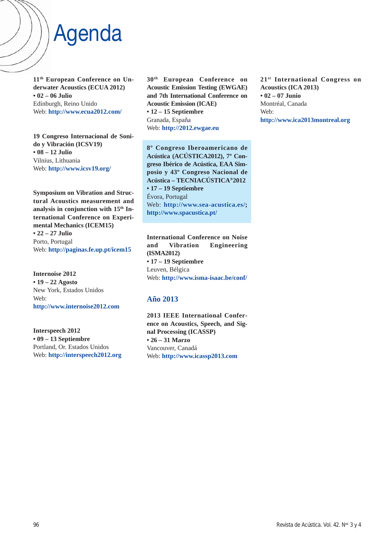### Agenda

**11th European Conference on Underwater Acoustics (ECUA 2012) • 02 – 06 Julio** Edinburgh, Reino Unido Web: **http://www.ecua2012.com/**

**19 Congreso Internacional de Sonido y Vibración (ICSV19) • 08 – 12 Julio** Vilnius, Lithuania Web: **http://www.icsv19.org/**

**Symposium on Vibration and Structural Acoustics measurement and** analysis in conjunction with  $15<sup>th</sup>$  In**ternational Conference on Experimental Mechanics (ICEM15) • 22 – 27 Julio** Porto, Portugal Web: **http://paginas.fe.up.pt/icem15**

**Internoise 2012 • 19 – 22 Agosto** New York, Estados Unidos Web: **http://www.internoise2012.com**

**Interspeech 2012 • 09 – 13 Septiembre** Portland, Or. Estados Unidos Web: **http://interspeech2012.org** **30th European Conference on Acoustic Emission Testing (EWGAE) and 7th International Conference on Acoustic Emission (ICAE) • 12 – 15 Septiembre** Granada, España Web: **http://2012.ewgae.eu**

**8º Congreso Iberoamericano de Acústica (ACÚSTICA2012), 7º Congreso Ibérico de Acústica, EAA Simposio y 43º Congreso Nacional de Acústica – TECNIACÚSTICA®2012 • 17 – 19 Septiembre** Évora, Portugal Web: **http://www.sea-acustica.es/; http://www.spacustica.pt/**

**International Conference on Noise and Vibration Engineering (ISMA2012) • 17 – 19 Septiembre** Leuven, Bélgica Web: **http://www.isma-isaac.be/conf/**

### **Año 2013**

**2013 IEEE International Conference on Acoustics, Speech, and Signal Processing (ICASSP) • 26 – 31 Marzo** Vancouver, Canadá Web: **http://www.icassp2013.com**

**21st International Congress on Acoustics (ICA 2013) • 02 – 07 Junio** Montréal, Canada Web: **http://www.ica2013montreal.org**